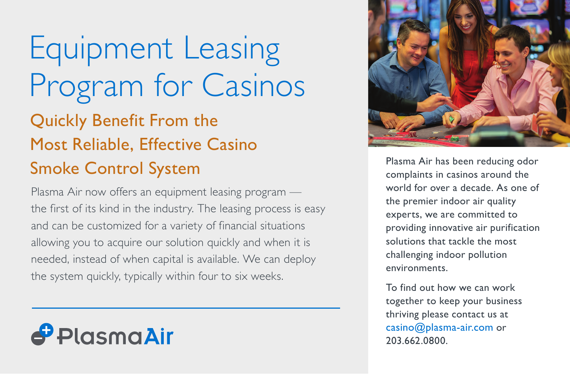# Equipment Leasing Program for Casinos Quickly Benefit From the Most Reliable, Effective Casino Smoke Control System

Plasma Air now offers an equipment leasing program the first of its kind in the industry. The leasing process is easy and can be customized for a variety of financial situations allowing you to acquire our solution quickly and when it is needed, instead of when capital is available. We can deploy the system quickly, typically within four to six weeks.

# PlasmaAir



Plasma Air has been reducing odor complaints in casinos around the world for over a decade. As one of the premier indoor air quality experts, we are committed to providing innovative air purification solutions that tackle the most challenging indoor pollution environments.

To find out how we can work together to keep your business thriving please contact us at casino@plasma-air.com or 203.662.0800.